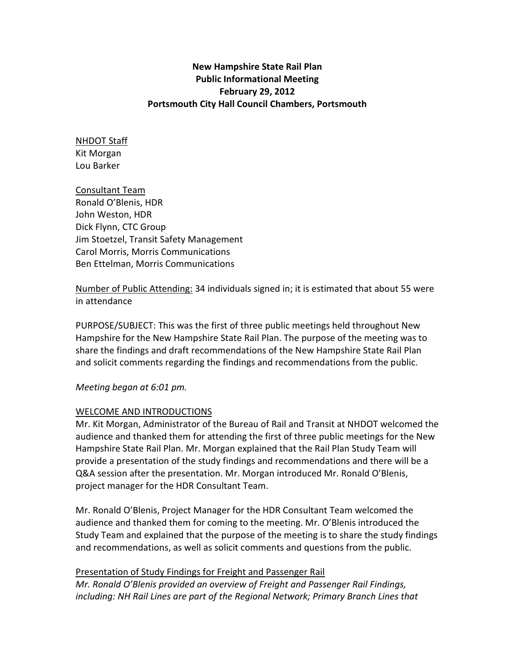## New Hampshire State Rail Plan Public Informational Meeting February 29, 2012 Portsmouth City Hall Council Chambers, Portsmouth

### NHDOT Staff Kit Morgan Lou Barker

Consultant Team Ronald O'Blenis, HDR John Weston, HDR Dick Flynn, CTC Group Jim Stoetzel, Transit Safety Management Carol Morris, Morris Communications Ben Ettelman, Morris Communications

Number of Public Attending: 34 individuals signed in; it is estimated that about 55 were in attendance

PURPOSE/SUBJECT: This was the first of three public meetings held throughout New Hampshire for the New Hampshire State Rail Plan. The purpose of the meeting was to share the findings and draft recommendations of the New Hampshire State Rail Plan and solicit comments regarding the findings and recommendations from the public.

Meeting began at 6:01 pm.

# WELCOME AND INTRODUCTIONS

Mr. Kit Morgan, Administrator of the Bureau of Rail and Transit at NHDOT welcomed the audience and thanked them for attending the first of three public meetings for the New Hampshire State Rail Plan. Mr. Morgan explained that the Rail Plan Study Team will provide a presentation of the study findings and recommendations and there will be a Q&A session after the presentation. Mr. Morgan introduced Mr. Ronald O'Blenis, project manager for the HDR Consultant Team.

Mr. Ronald O'Blenis, Project Manager for the HDR Consultant Team welcomed the audience and thanked them for coming to the meeting. Mr. O'Blenis introduced the Study Team and explained that the purpose of the meeting is to share the study findings and recommendations, as well as solicit comments and questions from the public.

# Presentation of Study Findings for Freight and Passenger Rail

Mr. Ronald O'Blenis provided an overview of Freight and Passenger Rail Findings, including: NH Rail Lines are part of the Regional Network; Primary Branch Lines that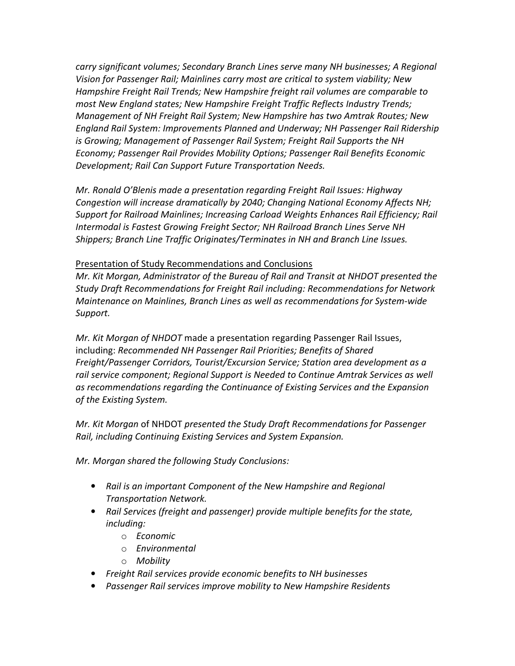carry significant volumes; Secondary Branch Lines serve many NH businesses; A Regional Vision for Passenger Rail; Mainlines carry most are critical to system viability; New Hampshire Freight Rail Trends; New Hampshire freight rail volumes are comparable to most New England states; New Hampshire Freight Traffic Reflects Industry Trends; Management of NH Freight Rail System; New Hampshire has two Amtrak Routes; New England Rail System: Improvements Planned and Underway; NH Passenger Rail Ridership is Growing; Management of Passenger Rail System; Freight Rail Supports the NH Economy; Passenger Rail Provides Mobility Options; Passenger Rail Benefits Economic Development; Rail Can Support Future Transportation Needs.

Mr. Ronald O'Blenis made a presentation regarding Freight Rail Issues: Highway Congestion will increase dramatically by 2040; Changing National Economy Affects NH; Support for Railroad Mainlines; Increasing Carload Weights Enhances Rail Efficiency; Rail Intermodal is Fastest Growing Freight Sector; NH Railroad Branch Lines Serve NH Shippers; Branch Line Traffic Originates/Terminates in NH and Branch Line Issues.

### Presentation of Study Recommendations and Conclusions

Mr. Kit Morgan, Administrator of the Bureau of Rail and Transit at NHDOT presented the Study Draft Recommendations for Freight Rail including: Recommendations for Network Maintenance on Mainlines, Branch Lines as well as recommendations for System-wide Support.

Mr. Kit Morgan of NHDOT made a presentation regarding Passenger Rail Issues, including: Recommended NH Passenger Rail Priorities; Benefits of Shared Freight/Passenger Corridors, Tourist/Excursion Service; Station area development as a rail service component; Regional Support is Needed to Continue Amtrak Services as well as recommendations regarding the Continuance of Existing Services and the Expansion of the Existing System.

Mr. Kit Morgan of NHDOT presented the Study Draft Recommendations for Passenger Rail, including Continuing Existing Services and System Expansion.

Mr. Morgan shared the following Study Conclusions:

- Rail is an important Component of the New Hampshire and Regional Transportation Network.
- Rail Services (freight and passenger) provide multiple benefits for the state, including:
	- o Economic
	- o Environmental
	- o Mobility
- Freight Rail services provide economic benefits to NH businesses
- Passenger Rail services improve mobility to New Hampshire Residents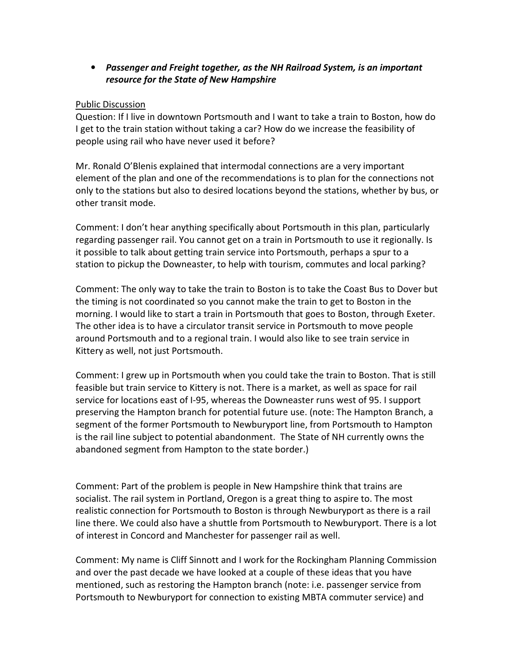• Passenger and Freight together, as the NH Railroad System, is an important resource for the State of New Hampshire

#### Public Discussion

Question: If I live in downtown Portsmouth and I want to take a train to Boston, how do I get to the train station without taking a car? How do we increase the feasibility of people using rail who have never used it before?

Mr. Ronald O'Blenis explained that intermodal connections are a very important element of the plan and one of the recommendations is to plan for the connections not only to the stations but also to desired locations beyond the stations, whether by bus, or other transit mode.

Comment: I don't hear anything specifically about Portsmouth in this plan, particularly regarding passenger rail. You cannot get on a train in Portsmouth to use it regionally. Is it possible to talk about getting train service into Portsmouth, perhaps a spur to a station to pickup the Downeaster, to help with tourism, commutes and local parking?

Comment: The only way to take the train to Boston is to take the Coast Bus to Dover but the timing is not coordinated so you cannot make the train to get to Boston in the morning. I would like to start a train in Portsmouth that goes to Boston, through Exeter. The other idea is to have a circulator transit service in Portsmouth to move people around Portsmouth and to a regional train. I would also like to see train service in Kittery as well, not just Portsmouth.

Comment: I grew up in Portsmouth when you could take the train to Boston. That is still feasible but train service to Kittery is not. There is a market, as well as space for rail service for locations east of I-95, whereas the Downeaster runs west of 95. I support preserving the Hampton branch for potential future use. (note: The Hampton Branch, a segment of the former Portsmouth to Newburyport line, from Portsmouth to Hampton is the rail line subject to potential abandonment. The State of NH currently owns the abandoned segment from Hampton to the state border.)

Comment: Part of the problem is people in New Hampshire think that trains are socialist. The rail system in Portland, Oregon is a great thing to aspire to. The most realistic connection for Portsmouth to Boston is through Newburyport as there is a rail line there. We could also have a shuttle from Portsmouth to Newburyport. There is a lot of interest in Concord and Manchester for passenger rail as well.

Comment: My name is Cliff Sinnott and I work for the Rockingham Planning Commission and over the past decade we have looked at a couple of these ideas that you have mentioned, such as restoring the Hampton branch (note: i.e. passenger service from Portsmouth to Newburyport for connection to existing MBTA commuter service) and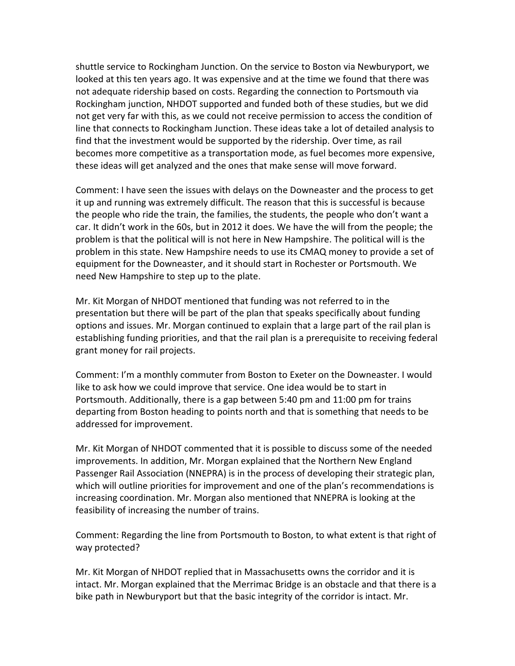shuttle service to Rockingham Junction. On the service to Boston via Newburyport, we looked at this ten years ago. It was expensive and at the time we found that there was not adequate ridership based on costs. Regarding the connection to Portsmouth via Rockingham junction, NHDOT supported and funded both of these studies, but we did not get very far with this, as we could not receive permission to access the condition of line that connects to Rockingham Junction. These ideas take a lot of detailed analysis to find that the investment would be supported by the ridership. Over time, as rail becomes more competitive as a transportation mode, as fuel becomes more expensive, these ideas will get analyzed and the ones that make sense will move forward.

Comment: I have seen the issues with delays on the Downeaster and the process to get it up and running was extremely difficult. The reason that this is successful is because the people who ride the train, the families, the students, the people who don't want a car. It didn't work in the 60s, but in 2012 it does. We have the will from the people; the problem is that the political will is not here in New Hampshire. The political will is the problem in this state. New Hampshire needs to use its CMAQ money to provide a set of equipment for the Downeaster, and it should start in Rochester or Portsmouth. We need New Hampshire to step up to the plate.

Mr. Kit Morgan of NHDOT mentioned that funding was not referred to in the presentation but there will be part of the plan that speaks specifically about funding options and issues. Mr. Morgan continued to explain that a large part of the rail plan is establishing funding priorities, and that the rail plan is a prerequisite to receiving federal grant money for rail projects.

Comment: I'm a monthly commuter from Boston to Exeter on the Downeaster. I would like to ask how we could improve that service. One idea would be to start in Portsmouth. Additionally, there is a gap between 5:40 pm and 11:00 pm for trains departing from Boston heading to points north and that is something that needs to be addressed for improvement.

Mr. Kit Morgan of NHDOT commented that it is possible to discuss some of the needed improvements. In addition, Mr. Morgan explained that the Northern New England Passenger Rail Association (NNEPRA) is in the process of developing their strategic plan, which will outline priorities for improvement and one of the plan's recommendations is increasing coordination. Mr. Morgan also mentioned that NNEPRA is looking at the feasibility of increasing the number of trains.

Comment: Regarding the line from Portsmouth to Boston, to what extent is that right of way protected?

Mr. Kit Morgan of NHDOT replied that in Massachusetts owns the corridor and it is intact. Mr. Morgan explained that the Merrimac Bridge is an obstacle and that there is a bike path in Newburyport but that the basic integrity of the corridor is intact. Mr.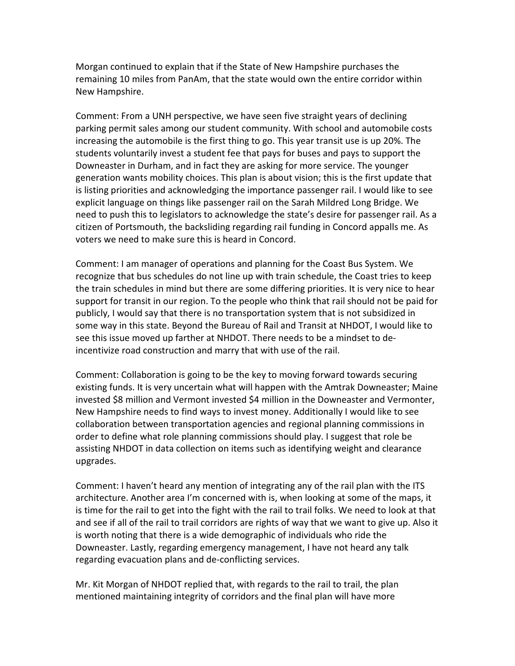Morgan continued to explain that if the State of New Hampshire purchases the remaining 10 miles from PanAm, that the state would own the entire corridor within New Hampshire.

Comment: From a UNH perspective, we have seen five straight years of declining parking permit sales among our student community. With school and automobile costs increasing the automobile is the first thing to go. This year transit use is up 20%. The students voluntarily invest a student fee that pays for buses and pays to support the Downeaster in Durham, and in fact they are asking for more service. The younger generation wants mobility choices. This plan is about vision; this is the first update that is listing priorities and acknowledging the importance passenger rail. I would like to see explicit language on things like passenger rail on the Sarah Mildred Long Bridge. We need to push this to legislators to acknowledge the state's desire for passenger rail. As a citizen of Portsmouth, the backsliding regarding rail funding in Concord appalls me. As voters we need to make sure this is heard in Concord.

Comment: I am manager of operations and planning for the Coast Bus System. We recognize that bus schedules do not line up with train schedule, the Coast tries to keep the train schedules in mind but there are some differing priorities. It is very nice to hear support for transit in our region. To the people who think that rail should not be paid for publicly, I would say that there is no transportation system that is not subsidized in some way in this state. Beyond the Bureau of Rail and Transit at NHDOT, I would like to see this issue moved up farther at NHDOT. There needs to be a mindset to deincentivize road construction and marry that with use of the rail.

Comment: Collaboration is going to be the key to moving forward towards securing existing funds. It is very uncertain what will happen with the Amtrak Downeaster; Maine invested \$8 million and Vermont invested \$4 million in the Downeaster and Vermonter, New Hampshire needs to find ways to invest money. Additionally I would like to see collaboration between transportation agencies and regional planning commissions in order to define what role planning commissions should play. I suggest that role be assisting NHDOT in data collection on items such as identifying weight and clearance upgrades.

Comment: I haven't heard any mention of integrating any of the rail plan with the ITS architecture. Another area I'm concerned with is, when looking at some of the maps, it is time for the rail to get into the fight with the rail to trail folks. We need to look at that and see if all of the rail to trail corridors are rights of way that we want to give up. Also it is worth noting that there is a wide demographic of individuals who ride the Downeaster. Lastly, regarding emergency management, I have not heard any talk regarding evacuation plans and de-conflicting services.

Mr. Kit Morgan of NHDOT replied that, with regards to the rail to trail, the plan mentioned maintaining integrity of corridors and the final plan will have more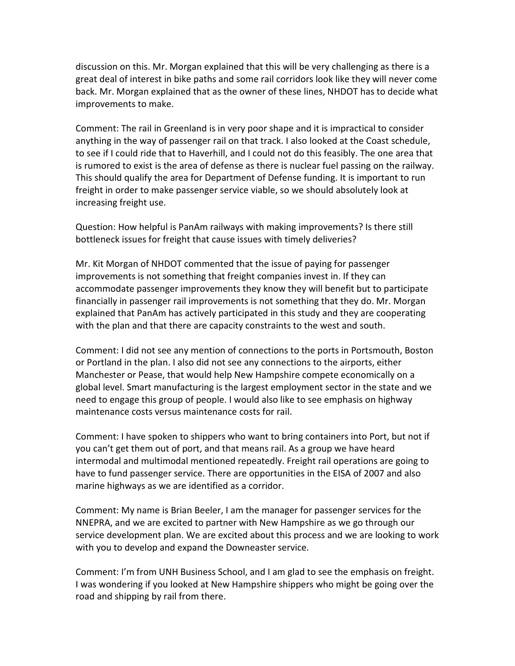discussion on this. Mr. Morgan explained that this will be very challenging as there is a great deal of interest in bike paths and some rail corridors look like they will never come back. Mr. Morgan explained that as the owner of these lines, NHDOT has to decide what improvements to make.

Comment: The rail in Greenland is in very poor shape and it is impractical to consider anything in the way of passenger rail on that track. I also looked at the Coast schedule, to see if I could ride that to Haverhill, and I could not do this feasibly. The one area that is rumored to exist is the area of defense as there is nuclear fuel passing on the railway. This should qualify the area for Department of Defense funding. It is important to run freight in order to make passenger service viable, so we should absolutely look at increasing freight use.

Question: How helpful is PanAm railways with making improvements? Is there still bottleneck issues for freight that cause issues with timely deliveries?

Mr. Kit Morgan of NHDOT commented that the issue of paying for passenger improvements is not something that freight companies invest in. If they can accommodate passenger improvements they know they will benefit but to participate financially in passenger rail improvements is not something that they do. Mr. Morgan explained that PanAm has actively participated in this study and they are cooperating with the plan and that there are capacity constraints to the west and south.

Comment: I did not see any mention of connections to the ports in Portsmouth, Boston or Portland in the plan. I also did not see any connections to the airports, either Manchester or Pease, that would help New Hampshire compete economically on a global level. Smart manufacturing is the largest employment sector in the state and we need to engage this group of people. I would also like to see emphasis on highway maintenance costs versus maintenance costs for rail.

Comment: I have spoken to shippers who want to bring containers into Port, but not if you can't get them out of port, and that means rail. As a group we have heard intermodal and multimodal mentioned repeatedly. Freight rail operations are going to have to fund passenger service. There are opportunities in the EISA of 2007 and also marine highways as we are identified as a corridor.

Comment: My name is Brian Beeler, I am the manager for passenger services for the NNEPRA, and we are excited to partner with New Hampshire as we go through our service development plan. We are excited about this process and we are looking to work with you to develop and expand the Downeaster service.

Comment: I'm from UNH Business School, and I am glad to see the emphasis on freight. I was wondering if you looked at New Hampshire shippers who might be going over the road and shipping by rail from there.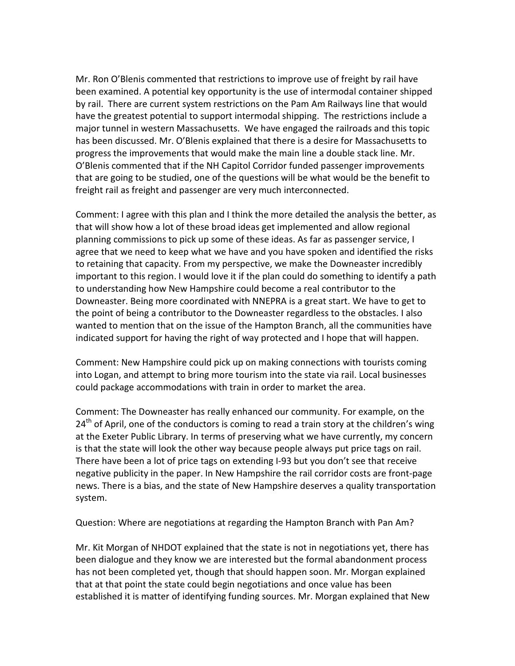Mr. Ron O'Blenis commented that restrictions to improve use of freight by rail have been examined. A potential key opportunity is the use of intermodal container shipped by rail. There are current system restrictions on the Pam Am Railways line that would have the greatest potential to support intermodal shipping. The restrictions include a major tunnel in western Massachusetts. We have engaged the railroads and this topic has been discussed. Mr. O'Blenis explained that there is a desire for Massachusetts to progress the improvements that would make the main line a double stack line. Mr. O'Blenis commented that if the NH Capitol Corridor funded passenger improvements that are going to be studied, one of the questions will be what would be the benefit to freight rail as freight and passenger are very much interconnected.

Comment: I agree with this plan and I think the more detailed the analysis the better, as that will show how a lot of these broad ideas get implemented and allow regional planning commissions to pick up some of these ideas. As far as passenger service, I agree that we need to keep what we have and you have spoken and identified the risks to retaining that capacity. From my perspective, we make the Downeaster incredibly important to this region. I would love it if the plan could do something to identify a path to understanding how New Hampshire could become a real contributor to the Downeaster. Being more coordinated with NNEPRA is a great start. We have to get to the point of being a contributor to the Downeaster regardless to the obstacles. I also wanted to mention that on the issue of the Hampton Branch, all the communities have indicated support for having the right of way protected and I hope that will happen.

Comment: New Hampshire could pick up on making connections with tourists coming into Logan, and attempt to bring more tourism into the state via rail. Local businesses could package accommodations with train in order to market the area.

Comment: The Downeaster has really enhanced our community. For example, on the  $24<sup>th</sup>$  of April, one of the conductors is coming to read a train story at the children's wing at the Exeter Public Library. In terms of preserving what we have currently, my concern is that the state will look the other way because people always put price tags on rail. There have been a lot of price tags on extending I-93 but you don't see that receive negative publicity in the paper. In New Hampshire the rail corridor costs are front-page news. There is a bias, and the state of New Hampshire deserves a quality transportation system.

Question: Where are negotiations at regarding the Hampton Branch with Pan Am?

Mr. Kit Morgan of NHDOT explained that the state is not in negotiations yet, there has been dialogue and they know we are interested but the formal abandonment process has not been completed yet, though that should happen soon. Mr. Morgan explained that at that point the state could begin negotiations and once value has been established it is matter of identifying funding sources. Mr. Morgan explained that New